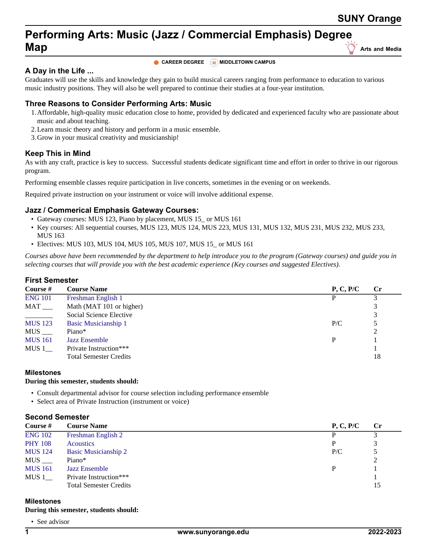# **Performing Arts: Music (Jazz / Commercial Emphasis) Degree Map Map** Arts and Media

# **A Day in the Life ...**

**CAREER DEGREE M** MIDDLETOWN CAMPUS

Graduates will use the skills and knowledge they gain to build musical careers ranging from performance to education to various music industry positions. They will also be well prepared to continue their studies at a four-year institution.

# **Three Reasons to Consider Performing Arts: Music**

- 1.Affordable, high-quality music education close to home, provided by dedicated and experienced faculty who are passionate about music and about teaching.
- 2.Learn music theory and history and perform in a music ensemble.
- 3.Grow in your musical creativity and musicianship!

## **Keep This in Mind**

As with any craft, practice is key to success. Successful students dedicate significant time and effort in order to thrive in our rigorous program.

Performing ensemble classes require participation in live concerts, sometimes in the evening or on weekends.

Required private instruction on your instrument or voice will involve additional expense.

## **Jazz / Commerical Emphasis Gateway Courses:**

- Gateway courses: MUS 123, Piano by placement, MUS 15\_ or MUS 161
- Key courses: All sequential courses, MUS 123, MUS 124, MUS 223, MUS 131, MUS 132, MUS 231, MUS 232, MUS 233, MUS 163
- Electives: MUS 103, MUS 104, MUS 105, MUS 107, MUS 15\_ or MUS 161

*Courses above have been recommended by the department to help introduce you to the program (Gateway courses) and guide you in selecting courses that will provide you with the best academic experience (Key courses and suggested Electives).*

## **First Semester**

| Course $#$               | <b>Course Name</b>            | P, C, P/C | $\mathbf{C}$ r |
|--------------------------|-------------------------------|-----------|----------------|
| <b>ENG 101</b>           | Freshman English 1            | D         |                |
| MAT                      | Math (MAT 101 or higher)      |           |                |
| $\overline{\phantom{a}}$ | Social Science Elective       |           | 3              |
| <b>MUS 123</b>           | Basic Musicianship 1          | P/C       | 5              |
| $MUS$ <sub>___</sub>     | Piano*                        |           | 2              |
| <b>MUS</b> 161           | <b>Jazz Ensemble</b>          | P         |                |
| MUS 1                    | Private Instruction***        |           |                |
|                          | <b>Total Semester Credits</b> |           | 18             |

## **Milestones**

## **During this semester, students should:**

- Consult departmental advisor for course selection including performance ensemble
- Select area of Private Instruction (instrument or voice)

## **Second Semester**

| Course #              | <b>Course Name</b>            | P, C, P/C | $\mathbf{C}$ r |
|-----------------------|-------------------------------|-----------|----------------|
| <b>ENG 102</b>        | Freshman English 2            |           |                |
| <b>PHY 108</b>        | <b>Acoustics</b>              |           |                |
| <b>MUS</b> 124        | <b>Basic Musicianship 2</b>   | P/C       |                |
| $MUS$ <sub>____</sub> | Piano*                        |           | $\gamma$       |
| <b>MUS</b> 161        | <b>Jazz Ensemble</b>          |           |                |
| MUS 1                 | Private Instruction***        |           |                |
|                       | <b>Total Semester Credits</b> |           | 15             |

## **Milestones**

#### **During this semester, students should:**

• See advisor